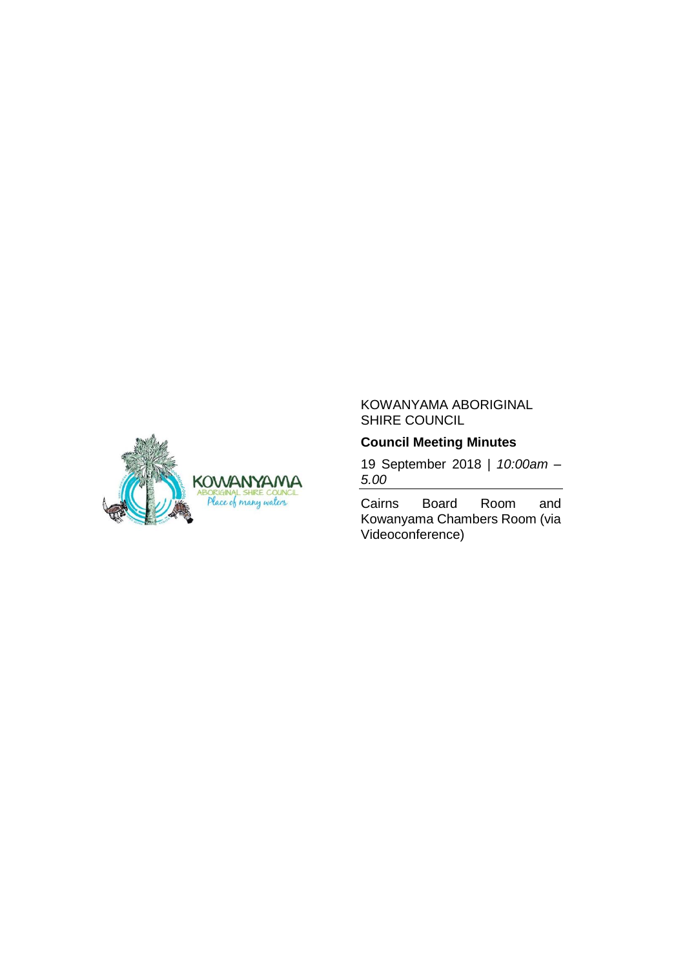

# KOWANYAMA ABORIGINAL SHIRE COUNCIL

# **Council Meeting Minutes**

19 September 2018 | *10:00am – 5.00*

Cairns Board Room and Kowanyama Chambers Room (via Videoconference)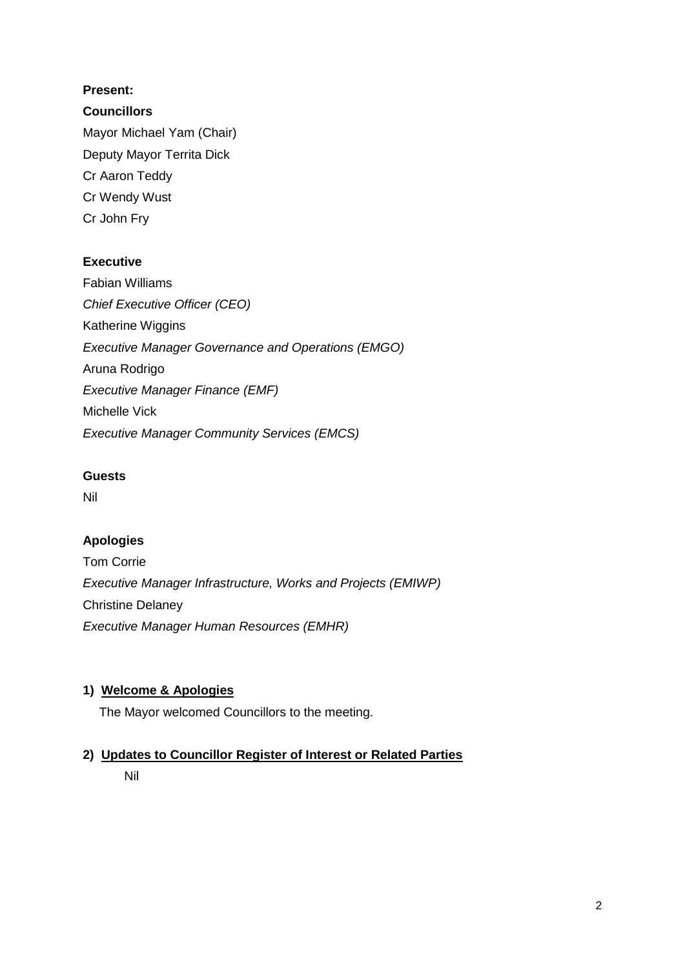# **Present:**

# **Councillors**

Mayor Michael Yam (Chair) Deputy Mayor Territa Dick Cr Aaron Teddy Cr Wendy Wust Cr John Fry

# **Executive**

Fabian Williams *Chief Executive Officer (CEO)* Katherine Wiggins *Executive Manager Governance and Operations (EMGO)* Aruna Rodrigo *Executive Manager Finance (EMF)* Michelle Vick *Executive Manager Community Services (EMCS)*

# **Guests**

Nil

# **Apologies**

Tom Corrie *Executive Manager Infrastructure, Works and Projects (EMIWP)* Christine Delaney *Executive Manager Human Resources (EMHR)*

# **1) Welcome & Apologies**

The Mayor welcomed Councillors to the meeting.

# **2) Updates to Councillor Register of Interest or Related Parties**

Nil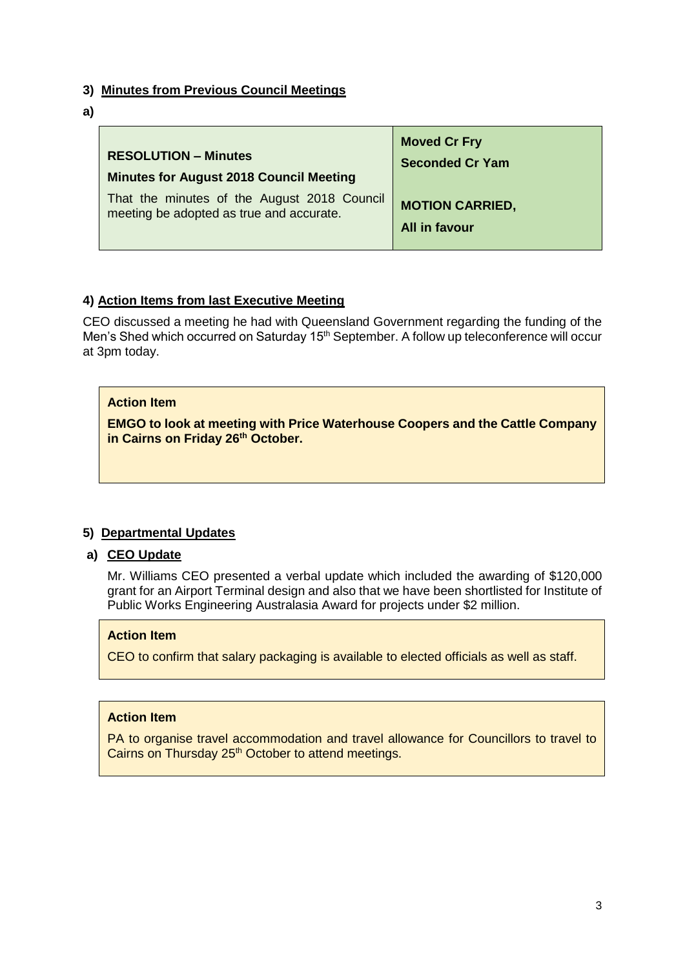## **3) Minutes from Previous Council Meetings**

**a)**

| <b>RESOLUTION - Minutes</b>                    | <b>Moved Cr Fry</b>    |
|------------------------------------------------|------------------------|
| <b>Minutes for August 2018 Council Meeting</b> | <b>Seconded Cr Yam</b> |
| That the minutes of the August 2018 Council    | <b>MOTION CARRIED,</b> |
| meeting be adopted as true and accurate.       | All in favour          |

# **4) Action Items from last Executive Meeting**

CEO discussed a meeting he had with Queensland Government regarding the funding of the Men's Shed which occurred on Saturday 15<sup>th</sup> September. A follow up teleconference will occur at 3pm today.

## **Action Item**

**EMGO to look at meeting with Price Waterhouse Coopers and the Cattle Company in Cairns on Friday 26th October.** 

# **5) Departmental Updates**

# **a) CEO Update**

Mr. Williams CEO presented a verbal update which included the awarding of \$120,000 grant for an Airport Terminal design and also that we have been shortlisted for Institute of Public Works Engineering Australasia Award for projects under \$2 million.

### **Action Item**

CEO to confirm that salary packaging is available to elected officials as well as staff.

### **Action Item**

PA to organise travel accommodation and travel allowance for Councillors to travel to Cairns on Thursday 25<sup>th</sup> October to attend meetings.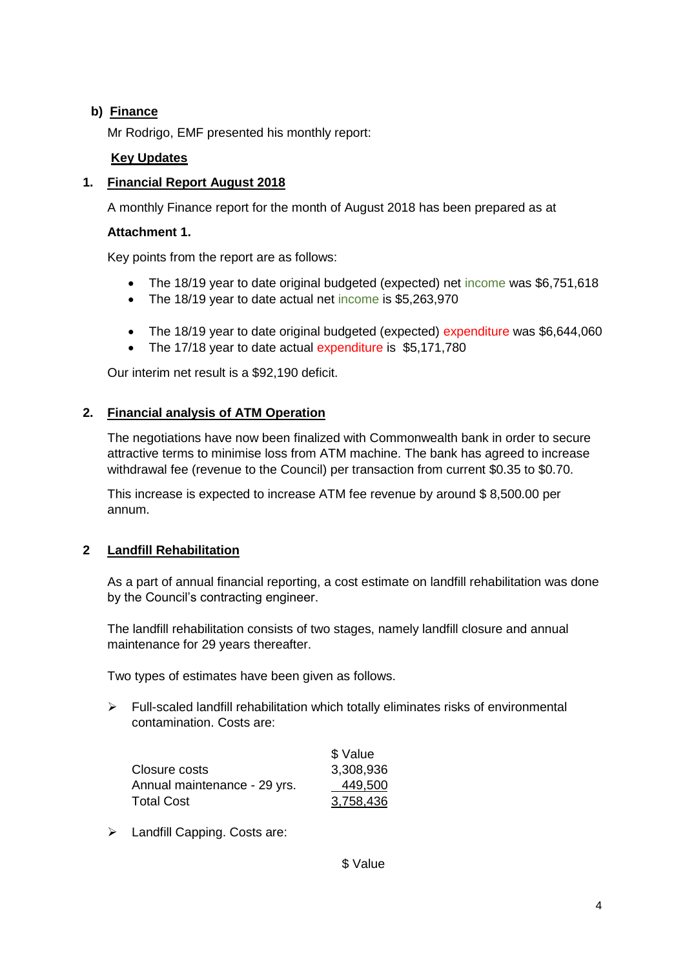# **b) Finance**

Mr Rodrigo, EMF presented his monthly report:

# **Key Updates**

# **1. Financial Report August 2018**

A monthly Finance report for the month of August 2018 has been prepared as at

### **Attachment 1.**

Key points from the report are as follows:

- The 18/19 year to date original budgeted (expected) net income was \$6,751,618
- The 18/19 year to date actual net income is \$5,263,970
- The 18/19 year to date original budgeted (expected) expenditure was \$6,644,060
- The 17/18 year to date actual expenditure is \$5,171,780

Our interim net result is a \$92,190 deficit.

## **2. Financial analysis of ATM Operation**

The negotiations have now been finalized with Commonwealth bank in order to secure attractive terms to minimise loss from ATM machine. The bank has agreed to increase withdrawal fee (revenue to the Council) per transaction from current \$0.35 to \$0.70.

This increase is expected to increase ATM fee revenue by around \$ 8,500.00 per annum.

# **2 Landfill Rehabilitation**

As a part of annual financial reporting, a cost estimate on landfill rehabilitation was done by the Council's contracting engineer.

The landfill rehabilitation consists of two stages, namely landfill closure and annual maintenance for 29 years thereafter.

Two types of estimates have been given as follows.

 $\triangleright$  Full-scaled landfill rehabilitation which totally eliminates risks of environmental contamination. Costs are:

|                              | \$ Value  |
|------------------------------|-----------|
| Closure costs                | 3,308,936 |
| Annual maintenance - 29 yrs. | 449,500   |
| <b>Total Cost</b>            | 3,758,436 |

> Landfill Capping. Costs are:

\$ Value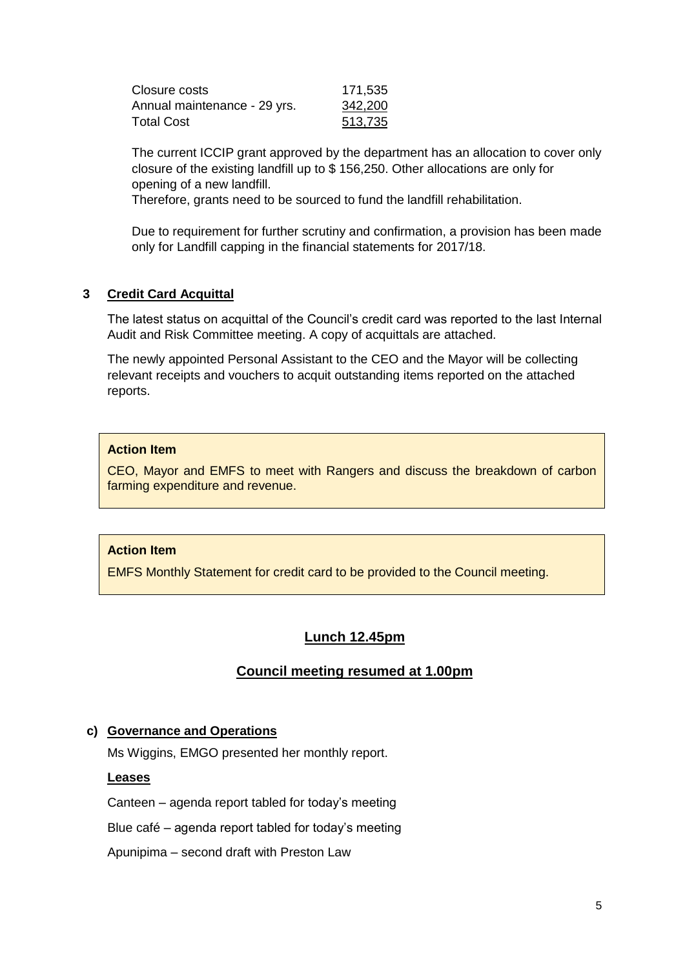| Closure costs                | 171,535 |
|------------------------------|---------|
| Annual maintenance - 29 yrs. | 342,200 |
| Total Cost                   | 513,735 |

The current ICCIP grant approved by the department has an allocation to cover only closure of the existing landfill up to \$ 156,250. Other allocations are only for opening of a new landfill.

Therefore, grants need to be sourced to fund the landfill rehabilitation.

Due to requirement for further scrutiny and confirmation, a provision has been made only for Landfill capping in the financial statements for 2017/18.

# **3 Credit Card Acquittal**

The latest status on acquittal of the Council's credit card was reported to the last Internal Audit and Risk Committee meeting. A copy of acquittals are attached.

The newly appointed Personal Assistant to the CEO and the Mayor will be collecting relevant receipts and vouchers to acquit outstanding items reported on the attached reports.

### **Action Item**

CEO, Mayor and EMFS to meet with Rangers and discuss the breakdown of carbon farming expenditure and revenue.

### **Action Item**

EMFS Monthly Statement for credit card to be provided to the Council meeting.

# **Lunch 12.45pm**

# **Council meeting resumed at 1.00pm**

### **c) Governance and Operations**

Ms Wiggins, EMGO presented her monthly report.

### **Leases**

Canteen – agenda report tabled for today's meeting

Blue café – agenda report tabled for today's meeting

Apunipima – second draft with Preston Law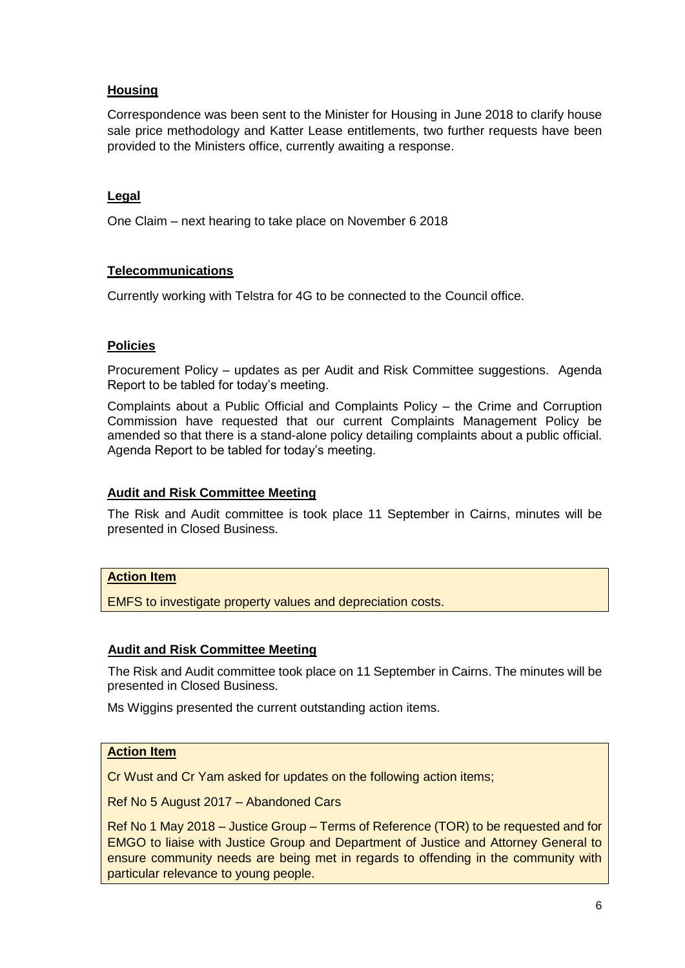# **Housing**

Correspondence was been sent to the Minister for Housing in June 2018 to clarify house sale price methodology and Katter Lease entitlements, two further requests have been provided to the Ministers office, currently awaiting a response.

## **Legal**

One Claim – next hearing to take place on November 6 2018

### **Telecommunications**

Currently working with Telstra for 4G to be connected to the Council office.

## **Policies**

Procurement Policy – updates as per Audit and Risk Committee suggestions. Agenda Report to be tabled for today's meeting.

Complaints about a Public Official and Complaints Policy – the Crime and Corruption Commission have requested that our current Complaints Management Policy be amended so that there is a stand-alone policy detailing complaints about a public official. Agenda Report to be tabled for today's meeting.

### **Audit and Risk Committee Meeting**

The Risk and Audit committee is took place 11 September in Cairns, minutes will be presented in Closed Business.

### **Action Item**

EMFS to investigate property values and depreciation costs.

### **Audit and Risk Committee Meeting**

The Risk and Audit committee took place on 11 September in Cairns. The minutes will be presented in Closed Business.

Ms Wiggins presented the current outstanding action items.

# **Action Item**

Cr Wust and Cr Yam asked for updates on the following action items;

Ref No 5 August 2017 – Abandoned Cars

Ref No 1 May 2018 – Justice Group – Terms of Reference (TOR) to be requested and for EMGO to liaise with Justice Group and Department of Justice and Attorney General to ensure community needs are being met in regards to offending in the community with particular relevance to young people.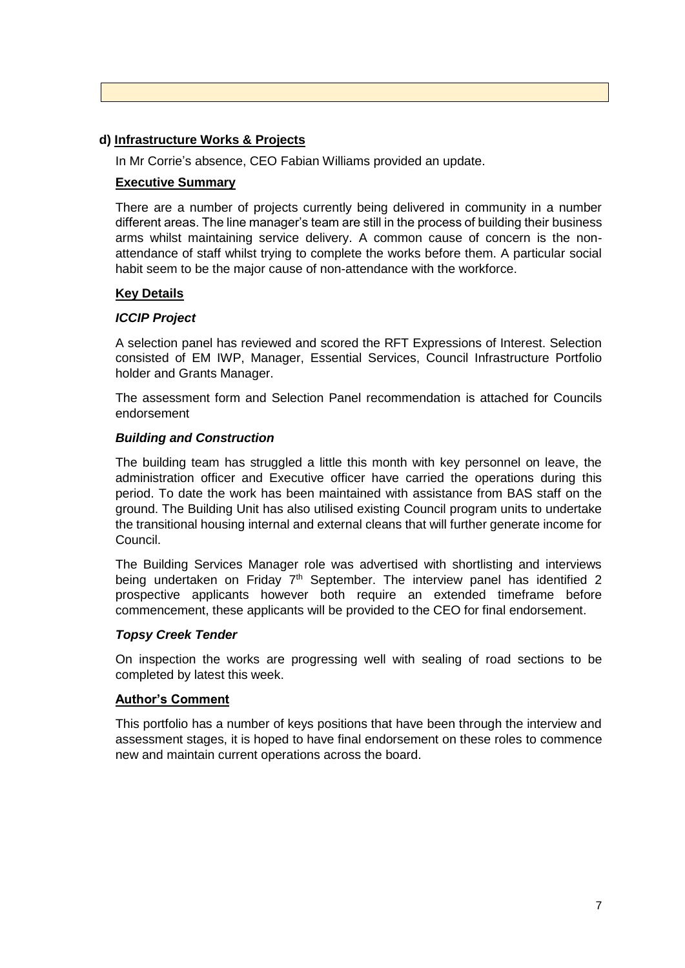#### **d) Infrastructure Works & Projects**

In Mr Corrie's absence, CEO Fabian Williams provided an update.

#### **Executive Summary**

There are a number of projects currently being delivered in community in a number different areas. The line manager's team are still in the process of building their business arms whilst maintaining service delivery. A common cause of concern is the nonattendance of staff whilst trying to complete the works before them. A particular social habit seem to be the major cause of non-attendance with the workforce.

### **Key Details**

### *ICCIP Project*

A selection panel has reviewed and scored the RFT Expressions of Interest. Selection consisted of EM IWP, Manager, Essential Services, Council Infrastructure Portfolio holder and Grants Manager.

The assessment form and Selection Panel recommendation is attached for Councils endorsement

#### *Building and Construction*

The building team has struggled a little this month with key personnel on leave, the administration officer and Executive officer have carried the operations during this period. To date the work has been maintained with assistance from BAS staff on the ground. The Building Unit has also utilised existing Council program units to undertake the transitional housing internal and external cleans that will further generate income for Council.

The Building Services Manager role was advertised with shortlisting and interviews being undertaken on Friday 7<sup>th</sup> September. The interview panel has identified 2 prospective applicants however both require an extended timeframe before commencement, these applicants will be provided to the CEO for final endorsement.

### *Topsy Creek Tender*

On inspection the works are progressing well with sealing of road sections to be completed by latest this week.

#### **Author's Comment**

This portfolio has a number of keys positions that have been through the interview and assessment stages, it is hoped to have final endorsement on these roles to commence new and maintain current operations across the board.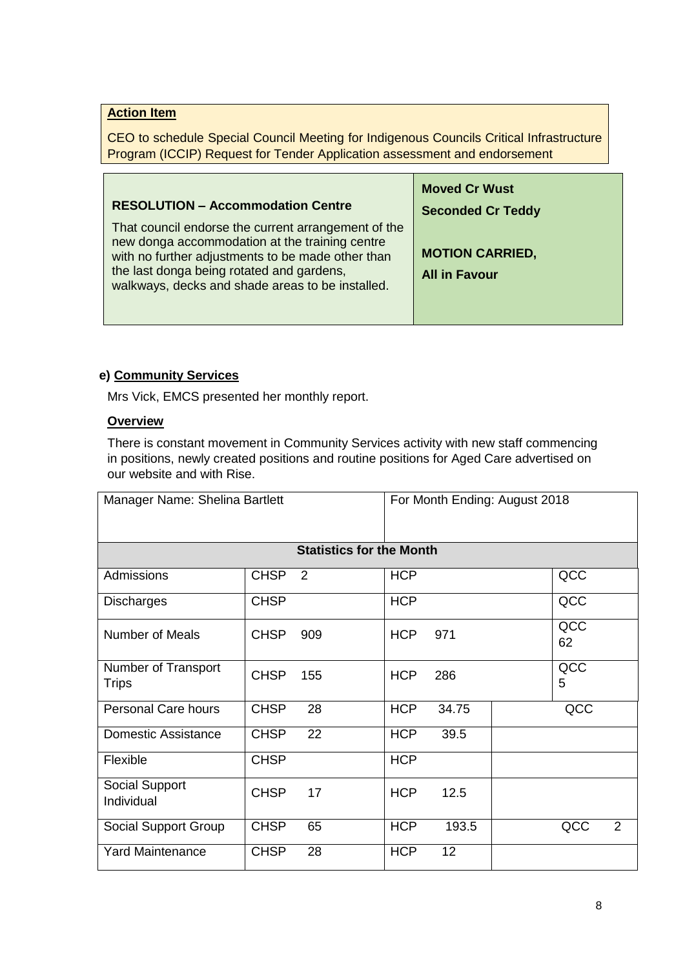# **Action Item**

CEO to schedule Special Council Meeting for Indigenous Councils Critical Infrastructure Program (ICCIP) Request for Tender Application assessment and endorsement

| <b>RESOLUTION - Accommodation Centre</b>                                                                                                                                                                                                                    | <b>Moved Cr Wust</b><br><b>Seconded Cr Teddy</b> |
|-------------------------------------------------------------------------------------------------------------------------------------------------------------------------------------------------------------------------------------------------------------|--------------------------------------------------|
| That council endorse the current arrangement of the<br>new donga accommodation at the training centre<br>with no further adjustments to be made other than<br>the last donga being rotated and gardens,<br>walkways, decks and shade areas to be installed. | <b>MOTION CARRIED,</b><br><b>All in Favour</b>   |

## **e) Community Services**

Mrs Vick, EMCS presented her monthly report.

# **Overview**

There is constant movement in Community Services activity with new staff commencing in positions, newly created positions and routine positions for Aged Care advertised on our website and with Rise.

| Manager Name: Shelina Bartlett      |             |                                 |            |       | For Month Ending: August 2018 |
|-------------------------------------|-------------|---------------------------------|------------|-------|-------------------------------|
|                                     |             | <b>Statistics for the Month</b> |            |       |                               |
| Admissions                          | <b>CHSP</b> | 2                               | <b>HCP</b> |       | QCC                           |
| <b>Discharges</b>                   | <b>CHSP</b> |                                 | <b>HCP</b> |       | QCC                           |
| <b>Number of Meals</b>              | <b>CHSP</b> | 909                             | <b>HCP</b> | 971   | QCC<br>62                     |
| Number of Transport<br><b>Trips</b> | <b>CHSP</b> | 155                             | <b>HCP</b> | 286   | QCC<br>5                      |
| Personal Care hours                 | <b>CHSP</b> | 28                              | <b>HCP</b> | 34.75 | QCC                           |
| <b>Domestic Assistance</b>          | <b>CHSP</b> | 22                              | <b>HCP</b> | 39.5  |                               |
| Flexible                            | <b>CHSP</b> |                                 | <b>HCP</b> |       |                               |
| Social Support<br>Individual        | <b>CHSP</b> | 17                              | <b>HCP</b> | 12.5  |                               |
| Social Support Group                | <b>CHSP</b> | 65                              | <b>HCP</b> | 193.5 | QCC<br>2                      |
| <b>Yard Maintenance</b>             | <b>CHSP</b> | 28                              | <b>HCP</b> | 12    |                               |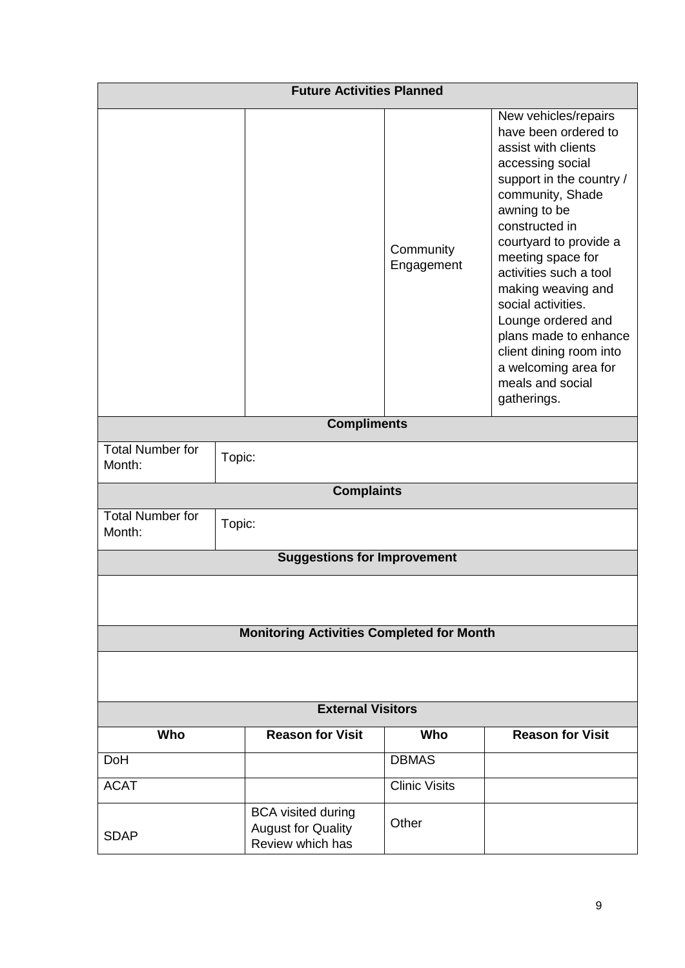| <b>Future Activities Planned</b>                 |                                                                            |                         |                                                                                                                                                                                                                                                                                                                                                                                                                                     |  |
|--------------------------------------------------|----------------------------------------------------------------------------|-------------------------|-------------------------------------------------------------------------------------------------------------------------------------------------------------------------------------------------------------------------------------------------------------------------------------------------------------------------------------------------------------------------------------------------------------------------------------|--|
|                                                  |                                                                            | Community<br>Engagement | New vehicles/repairs<br>have been ordered to<br>assist with clients<br>accessing social<br>support in the country /<br>community, Shade<br>awning to be<br>constructed in<br>courtyard to provide a<br>meeting space for<br>activities such a tool<br>making weaving and<br>social activities.<br>Lounge ordered and<br>plans made to enhance<br>client dining room into<br>a welcoming area for<br>meals and social<br>gatherings. |  |
|                                                  | <b>Compliments</b>                                                         |                         |                                                                                                                                                                                                                                                                                                                                                                                                                                     |  |
| <b>Total Number for</b><br>Month:                | Topic:                                                                     |                         |                                                                                                                                                                                                                                                                                                                                                                                                                                     |  |
|                                                  | <b>Complaints</b>                                                          |                         |                                                                                                                                                                                                                                                                                                                                                                                                                                     |  |
| <b>Total Number for</b><br>Topic:<br>Month:      |                                                                            |                         |                                                                                                                                                                                                                                                                                                                                                                                                                                     |  |
|                                                  | <b>Suggestions for Improvement</b>                                         |                         |                                                                                                                                                                                                                                                                                                                                                                                                                                     |  |
| <b>Monitoring Activities Completed for Month</b> |                                                                            |                         |                                                                                                                                                                                                                                                                                                                                                                                                                                     |  |
| <b>External Visitors</b>                         |                                                                            |                         |                                                                                                                                                                                                                                                                                                                                                                                                                                     |  |
| Who                                              | <b>Reason for Visit</b>                                                    | Who                     | <b>Reason for Visit</b>                                                                                                                                                                                                                                                                                                                                                                                                             |  |
| <b>DoH</b>                                       |                                                                            | <b>DBMAS</b>            |                                                                                                                                                                                                                                                                                                                                                                                                                                     |  |
| <b>ACAT</b>                                      |                                                                            | <b>Clinic Visits</b>    |                                                                                                                                                                                                                                                                                                                                                                                                                                     |  |
| <b>SDAP</b>                                      | <b>BCA</b> visited during<br><b>August for Quality</b><br>Review which has | Other                   |                                                                                                                                                                                                                                                                                                                                                                                                                                     |  |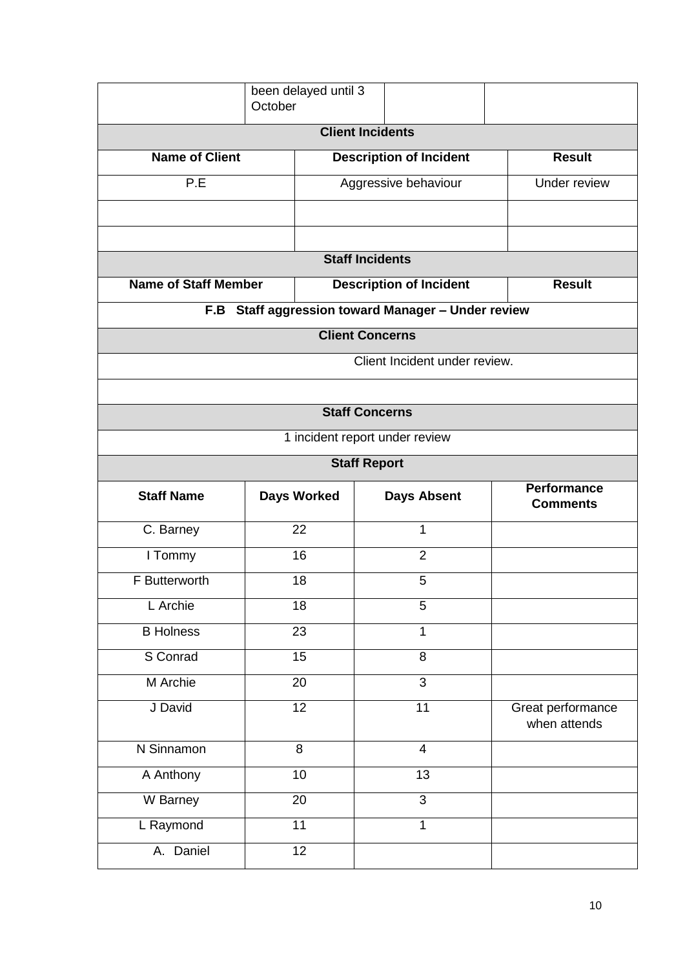|                             | been delayed until 3<br>October                    |                        |                                |  |                                       |
|-----------------------------|----------------------------------------------------|------------------------|--------------------------------|--|---------------------------------------|
|                             | <b>Client Incidents</b>                            |                        |                                |  |                                       |
| <b>Name of Client</b>       |                                                    |                        | <b>Description of Incident</b> |  | <b>Result</b>                         |
| P.E                         |                                                    |                        | Aggressive behaviour           |  | Under review                          |
|                             |                                                    |                        |                                |  |                                       |
|                             |                                                    |                        |                                |  |                                       |
|                             |                                                    | <b>Staff Incidents</b> |                                |  |                                       |
| <b>Name of Staff Member</b> |                                                    |                        | <b>Description of Incident</b> |  | <b>Result</b>                         |
|                             | F.B Staff aggression toward Manager - Under review |                        |                                |  |                                       |
|                             | <b>Client Concerns</b>                             |                        |                                |  |                                       |
|                             |                                                    |                        | Client Incident under review.  |  |                                       |
|                             |                                                    |                        |                                |  |                                       |
|                             |                                                    | <b>Staff Concerns</b>  |                                |  |                                       |
|                             |                                                    |                        | 1 incident report under review |  |                                       |
|                             |                                                    | <b>Staff Report</b>    |                                |  |                                       |
| <b>Staff Name</b>           | <b>Days Worked</b>                                 |                        | <b>Days Absent</b>             |  | <b>Performance</b><br><b>Comments</b> |
| C. Barney                   | 22                                                 |                        | 1                              |  |                                       |
| I Tommy                     | 16                                                 |                        | $\overline{2}$                 |  |                                       |
| F Butterworth               | 18                                                 |                        | 5                              |  |                                       |
| L Archie                    | 18                                                 |                        | 5                              |  |                                       |
| <b>B</b> Holness            | 23                                                 |                        | $\mathbf{1}$                   |  |                                       |
| S Conrad                    | 15                                                 |                        | $\overline{8}$                 |  |                                       |
| M Archie                    | 20                                                 |                        | $\overline{3}$                 |  |                                       |
| J David                     | 12                                                 |                        | 11                             |  | Great performance<br>when attends     |
| N Sinnamon                  | 8                                                  |                        | $\overline{\mathbf{4}}$        |  |                                       |
| A Anthony                   | $\overline{10}$                                    |                        | $\overline{13}$                |  |                                       |
| W Barney                    | 20                                                 |                        | $\overline{3}$                 |  |                                       |
| L Raymond                   | $\overline{11}$                                    |                        | 1                              |  |                                       |
| A. Daniel                   | $\overline{12}$                                    |                        |                                |  |                                       |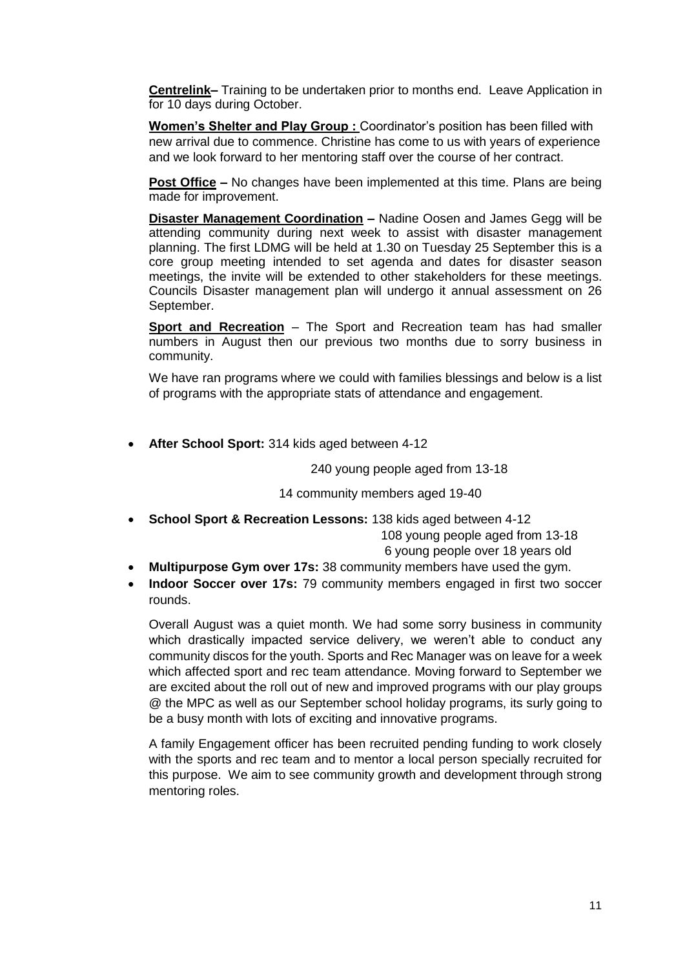**Centrelink–** Training to be undertaken prior to months end. Leave Application in for 10 days during October.

**Women's Shelter and Play Group :** Coordinator's position has been filled with new arrival due to commence. Christine has come to us with years of experience and we look forward to her mentoring staff over the course of her contract.

**Post Office –** No changes have been implemented at this time. Plans are being made for improvement.

**Disaster Management Coordination –** Nadine Oosen and James Gegg will be attending community during next week to assist with disaster management planning. The first LDMG will be held at 1.30 on Tuesday 25 September this is a core group meeting intended to set agenda and dates for disaster season meetings, the invite will be extended to other stakeholders for these meetings. Councils Disaster management plan will undergo it annual assessment on 26 September.

**Sport and Recreation** – The Sport and Recreation team has had smaller numbers in August then our previous two months due to sorry business in community.

We have ran programs where we could with families blessings and below is a list of programs with the appropriate stats of attendance and engagement.

**After School Sport:** 314 kids aged between 4-12

240 young people aged from 13-18

14 community members aged 19-40

**School Sport & Recreation Lessons:** 138 kids aged between 4-12

108 young people aged from 13-18

6 young people over 18 years old

- **Multipurpose Gym over 17s:** 38 community members have used the gym.
- **Indoor Soccer over 17s:** 79 community members engaged in first two soccer rounds.

Overall August was a quiet month. We had some sorry business in community which drastically impacted service delivery, we weren't able to conduct any community discos for the youth. Sports and Rec Manager was on leave for a week which affected sport and rec team attendance. Moving forward to September we are excited about the roll out of new and improved programs with our play groups @ the MPC as well as our September school holiday programs, its surly going to be a busy month with lots of exciting and innovative programs.

A family Engagement officer has been recruited pending funding to work closely with the sports and rec team and to mentor a local person specially recruited for this purpose. We aim to see community growth and development through strong mentoring roles.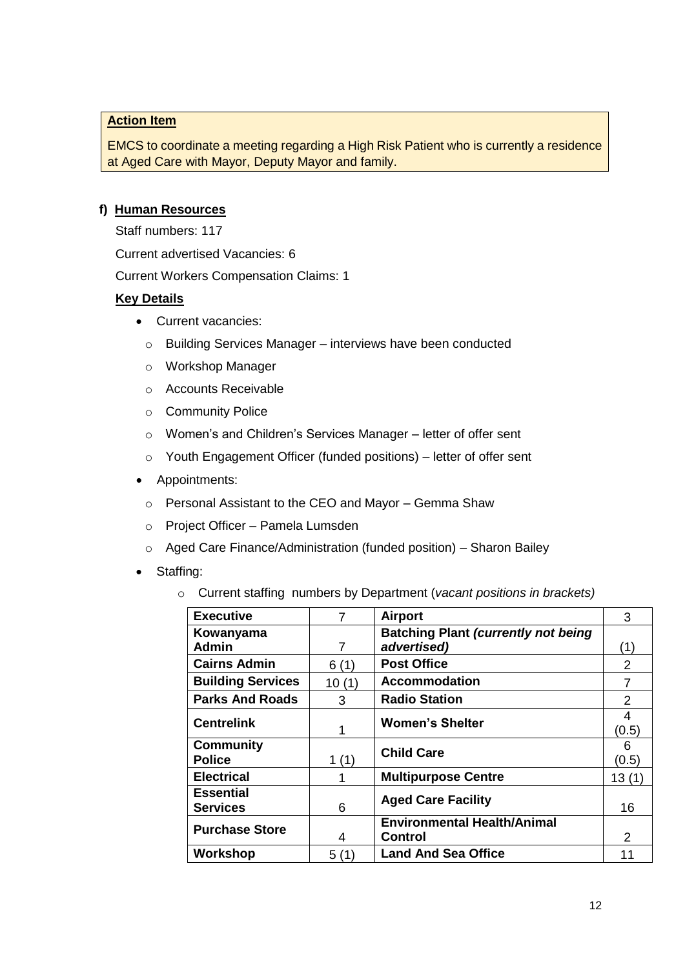## **Action Item**

EMCS to coordinate a meeting regarding a High Risk Patient who is currently a residence at Aged Care with Mayor, Deputy Mayor and family.

## **f) Human Resources**

Staff numbers: 117

Current advertised Vacancies: 6

Current Workers Compensation Claims: 1

# **Key Details**

- Current vacancies:
	- o Building Services Manager interviews have been conducted
	- o Workshop Manager
	- o Accounts Receivable
	- o Community Police
	- o Women's and Children's Services Manager letter of offer sent
	- o Youth Engagement Officer (funded positions) letter of offer sent
- Appointments:
	- o Personal Assistant to the CEO and Mayor Gemma Shaw
	- o Project Officer Pamela Lumsden
	- o Aged Care Finance/Administration (funded position) Sharon Bailey
- Staffing:
	- o Current staffing numbers by Department (*vacant positions in brackets)*

| <b>Executive</b>         | 7     | <b>Airport</b>                             | 3     |
|--------------------------|-------|--------------------------------------------|-------|
| Kowanyama                |       | <b>Batching Plant (currently not being</b> |       |
| <b>Admin</b>             | 7     | advertised)                                |       |
| <b>Cairns Admin</b>      | 6(1)  | <b>Post Office</b>                         | 2     |
| <b>Building Services</b> | 10(1) | <b>Accommodation</b>                       | 7     |
| <b>Parks And Roads</b>   | 3     | <b>Radio Station</b>                       | 2     |
| <b>Centrelink</b>        |       | <b>Women's Shelter</b>                     | 4     |
|                          |       |                                            | (0.5) |
| <b>Community</b>         |       | <b>Child Care</b>                          | 6     |
| <b>Police</b>            | 1(1)  |                                            | (0.5) |
| <b>Electrical</b>        |       | <b>Multipurpose Centre</b>                 | 13(1) |
| <b>Essential</b>         |       |                                            |       |
| <b>Services</b>          | 6     | <b>Aged Care Facility</b>                  | 16    |
|                          |       | <b>Environmental Health/Animal</b>         |       |
| <b>Purchase Store</b>    | 4     | <b>Control</b>                             | 2     |
| Workshop                 | 5(1)  | <b>Land And Sea Office</b>                 | 11    |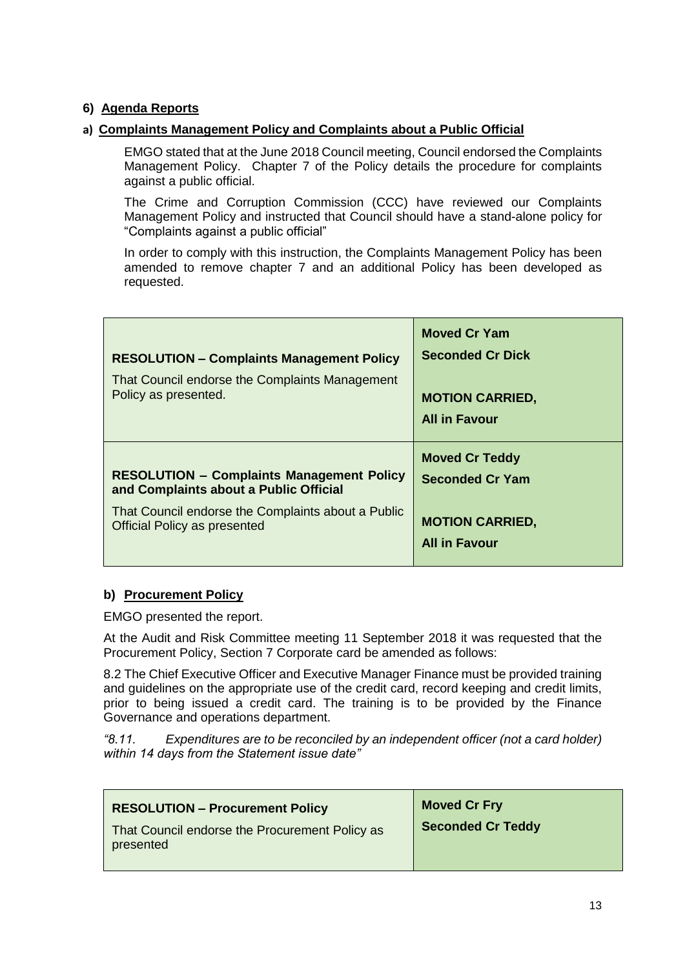# **6) Agenda Reports**

## **a) Complaints Management Policy and Complaints about a Public Official**

EMGO stated that at the June 2018 Council meeting, Council endorsed the Complaints Management Policy. Chapter 7 of the Policy details the procedure for complaints against a public official.

The Crime and Corruption Commission (CCC) have reviewed our Complaints Management Policy and instructed that Council should have a stand-alone policy for "Complaints against a public official"

In order to comply with this instruction, the Complaints Management Policy has been amended to remove chapter 7 and an additional Policy has been developed as requested.

| <b>RESOLUTION - Complaints Management Policy</b><br>That Council endorse the Complaints Management<br>Policy as presented. | <b>Moved Cr Yam</b><br><b>Seconded Cr Dick</b><br><b>MOTION CARRIED,</b><br><b>All in Favour</b> |
|----------------------------------------------------------------------------------------------------------------------------|--------------------------------------------------------------------------------------------------|
| <b>RESOLUTION - Complaints Management Policy</b>                                                                           | <b>Moved Cr Teddy</b>                                                                            |
| and Complaints about a Public Official                                                                                     | <b>Seconded Cr Yam</b>                                                                           |
| That Council endorse the Complaints about a Public                                                                         | <b>MOTION CARRIED,</b>                                                                           |
| <b>Official Policy as presented</b>                                                                                        | <b>All in Favour</b>                                                                             |

### **b) Procurement Policy**

EMGO presented the report.

At the Audit and Risk Committee meeting 11 September 2018 it was requested that the Procurement Policy, Section 7 Corporate card be amended as follows:

8.2 The Chief Executive Officer and Executive Manager Finance must be provided training and guidelines on the appropriate use of the credit card, record keeping and credit limits, prior to being issued a credit card. The training is to be provided by the Finance Governance and operations department.

*"8.11. Expenditures are to be reconciled by an independent officer (not a card holder) within 14 days from the Statement issue date"*

| <b>RESOLUTION - Procurement Policy</b>                      | <b>Moved Cr Fry</b>      |
|-------------------------------------------------------------|--------------------------|
| That Council endorse the Procurement Policy as<br>presented | <b>Seconded Cr Teddy</b> |
|                                                             |                          |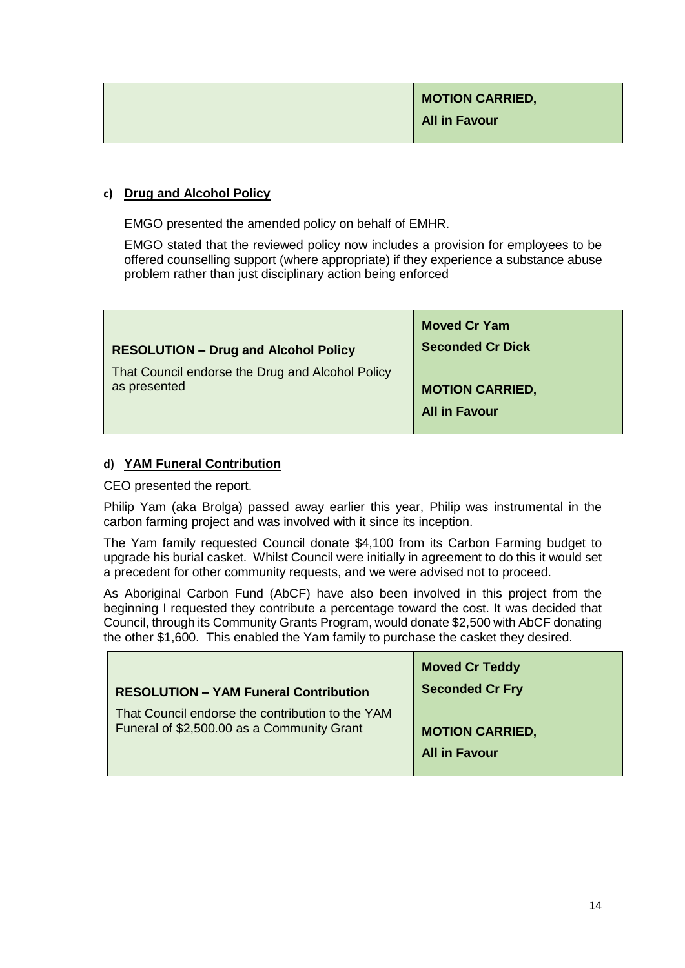# **c) Drug and Alcohol Policy**

EMGO presented the amended policy on behalf of EMHR.

EMGO stated that the reviewed policy now includes a provision for employees to be offered counselling support (where appropriate) if they experience a substance abuse problem rather than just disciplinary action being enforced

|                                                                  | <b>Moved Cr Yam</b>     |
|------------------------------------------------------------------|-------------------------|
| <b>RESOLUTION - Drug and Alcohol Policy</b>                      | <b>Seconded Cr Dick</b> |
| That Council endorse the Drug and Alcohol Policy<br>as presented | <b>MOTION CARRIED,</b>  |
|                                                                  | <b>All in Favour</b>    |

# **d) YAM Funeral Contribution**

CEO presented the report.

Philip Yam (aka Brolga) passed away earlier this year, Philip was instrumental in the carbon farming project and was involved with it since its inception.

The Yam family requested Council donate \$4,100 from its Carbon Farming budget to upgrade his burial casket. Whilst Council were initially in agreement to do this it would set a precedent for other community requests, and we were advised not to proceed.

As Aboriginal Carbon Fund (AbCF) have also been involved in this project from the beginning I requested they contribute a percentage toward the cost. It was decided that Council, through its Community Grants Program, would donate \$2,500 with AbCF donating the other \$1,600. This enabled the Yam family to purchase the casket they desired.

| <b>RESOLUTION - YAM Funeral Contribution</b>     | <b>Moved Cr Teddy</b><br><b>Seconded Cr Fry</b> |
|--------------------------------------------------|-------------------------------------------------|
| That Council endorse the contribution to the YAM | <b>MOTION CARRIED,</b>                          |
| Funeral of \$2,500.00 as a Community Grant       | <b>All in Favour</b>                            |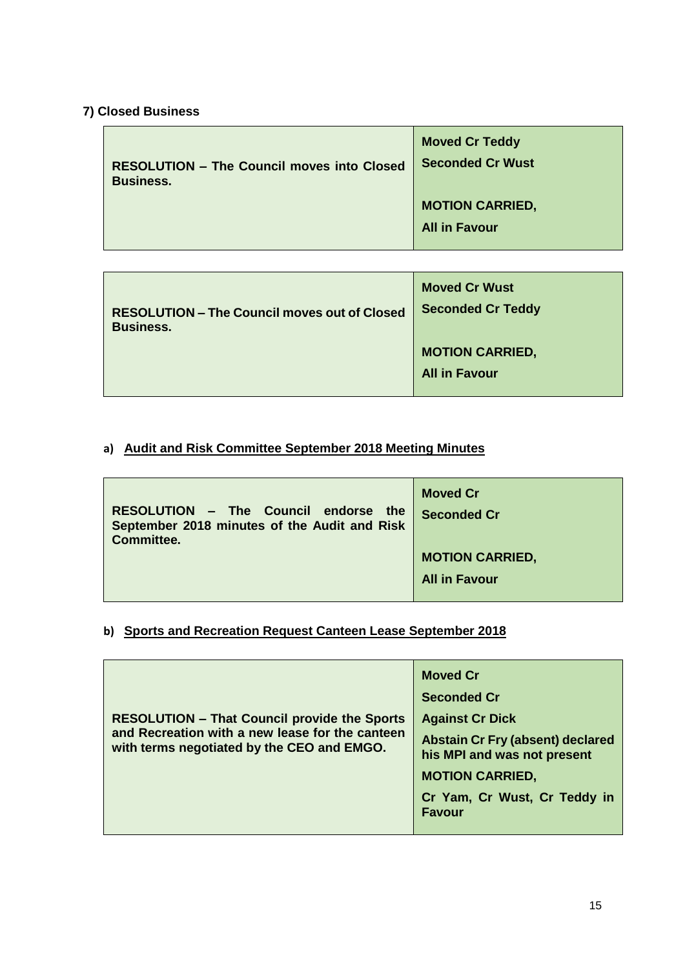# **7) Closed Business**

| <b>RESOLUTION - The Council moves into Closed</b> | <b>Moved Cr Teddy</b>                          |
|---------------------------------------------------|------------------------------------------------|
| <b>Business.</b>                                  | <b>Seconded Cr Wust</b>                        |
|                                                   | <b>MOTION CARRIED,</b><br><b>All in Favour</b> |

| <b>RESOLUTION - The Council moves out of Closed</b> | <b>Moved Cr Wust</b>                           |
|-----------------------------------------------------|------------------------------------------------|
| <b>Business.</b>                                    | <b>Seconded Cr Teddy</b>                       |
|                                                     | <b>MOTION CARRIED,</b><br><b>All in Favour</b> |

# **a) Audit and Risk Committee September 2018 Meeting Minutes**

| RESOLUTION - The Council endorse the<br>September 2018 minutes of the Audit and Risk<br><b>Committee.</b> | <b>Moved Cr</b><br><b>Seconded Cr</b> |
|-----------------------------------------------------------------------------------------------------------|---------------------------------------|
|                                                                                                           | <b>MOTION CARRIED,</b>                |
|                                                                                                           | <b>All in Favour</b>                  |
|                                                                                                           |                                       |

# **b) Sports and Recreation Request Canteen Lease September 2018**

|                                                                                                                                                      | <b>Moved Cr</b>                                                        |
|------------------------------------------------------------------------------------------------------------------------------------------------------|------------------------------------------------------------------------|
| <b>RESOLUTION - That Council provide the Sports</b><br>and Recreation with a new lease for the canteen<br>with terms negotiated by the CEO and EMGO. | <b>Seconded Cr</b>                                                     |
|                                                                                                                                                      | <b>Against Cr Dick</b>                                                 |
|                                                                                                                                                      | <b>Abstain Cr Fry (absent) declared</b><br>his MPI and was not present |
|                                                                                                                                                      | <b>MOTION CARRIED,</b>                                                 |
|                                                                                                                                                      | Cr Yam, Cr Wust, Cr Teddy in<br><b>Favour</b>                          |